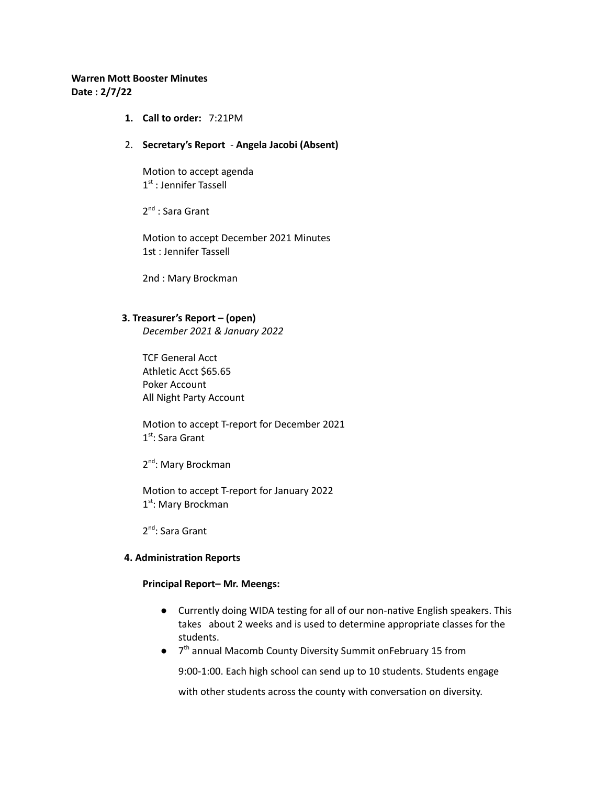## **Warren Mott Booster Minutes Date : 2/7/22**

**1. Call to order:** 7:21PM

#### 2. **Secretary's Report** - **Angela Jacobi (Absent)**

Motion to accept agenda 1<sup>st</sup> : Jennifer Tassell

2<sup>nd</sup> : Sara Grant

Motion to accept December 2021 Minutes 1st : Jennifer Tassell

2nd : Mary Brockman

### **3. Treasurer's Report – (open)**

*December 2021 & January 2022*

TCF General Acct Athletic Acct \$65.65 Poker Account All Night Party Account

Motion to accept T-report for December 2021 1<sup>st</sup>: Sara Grant

2<sup>nd</sup>: Mary Brockman

Motion to accept T-report for January 2022 1<sup>st</sup>: Mary Brockman

2<sup>nd</sup>: Sara Grant

#### **4. Administration Reports**

#### **Principal Report– Mr. Meengs:**

- Currently doing WIDA testing for all of our non-native English speakers. This takes about 2 weeks and is used to determine appropriate classes for the students.
- 7<sup>th</sup> annual Macomb County Diversity Summit onFebruary 15 from

9:00-1:00. Each high school can send up to 10 students. Students engage

with other students across the county with conversation on diversity.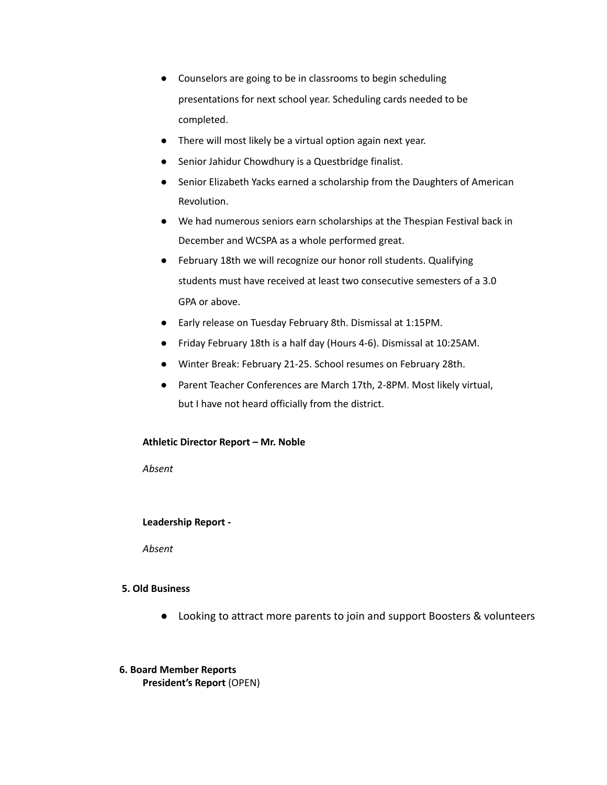- Counselors are going to be in classrooms to begin scheduling presentations for next school year. Scheduling cards needed to be completed.
- There will most likely be a virtual option again next year.
- Senior Jahidur Chowdhury is a Questbridge finalist.
- Senior Elizabeth Yacks earned a scholarship from the Daughters of American Revolution.
- We had numerous seniors earn scholarships at the Thespian Festival back in December and WCSPA as a whole performed great.
- February 18th we will recognize our honor roll students. Qualifying students must have received at least two consecutive semesters of a 3.0 GPA or above.
- Early release on Tuesday February 8th. Dismissal at 1:15PM.
- Friday February 18th is a half day (Hours 4-6). Dismissal at 10:25AM.
- Winter Break: February 21-25. School resumes on February 28th.
- Parent Teacher Conferences are March 17th, 2-8PM. Most likely virtual, but I have not heard officially from the district.

#### **Athletic Director Report – Mr. Noble**

*Absent*

## **Leadership Report -**

*Absent*

## **5. Old Business**

- Looking to attract more parents to join and support Boosters & volunteers
- **6. Board Member Reports President's Report** (OPEN)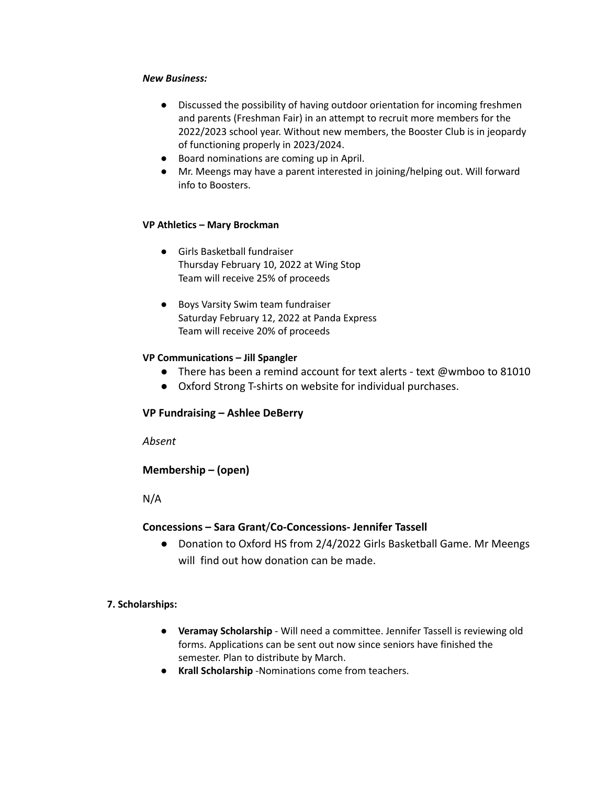## *New Business:*

- Discussed the possibility of having outdoor orientation for incoming freshmen and parents (Freshman Fair) in an attempt to recruit more members for the 2022/2023 school year. Without new members, the Booster Club is in jeopardy of functioning properly in 2023/2024.
- Board nominations are coming up in April.
- Mr. Meengs may have a parent interested in joining/helping out. Will forward info to Boosters.

## **VP Athletics – Mary Brockman**

- Girls Basketball fundraiser Thursday February 10, 2022 at Wing Stop Team will receive 25% of proceeds
- Boys Varsity Swim team fundraiser Saturday February 12, 2022 at Panda Express Team will receive 20% of proceeds

## **VP Communications – Jill Spangler**

- There has been a remind account for text alerts text @wmboo to 81010
- Oxford Strong T-shirts on website for individual purchases.

# **VP Fundraising – Ashlee DeBerry**

*Absent*

# **Membership – (open)**

N/A

# **Concessions – Sara Grant**/**Co-Concessions- Jennifer Tassell**

● Donation to Oxford HS from 2/4/2022 Girls Basketball Game. Mr Meengs will find out how donation can be made.

**7. Scholarships:**

- **Veramay Scholarship** Will need a committee. Jennifer Tassell is reviewing old forms. Applications can be sent out now since seniors have finished the semester. Plan to distribute by March.
- **Krall Scholarship** -Nominations come from teachers.